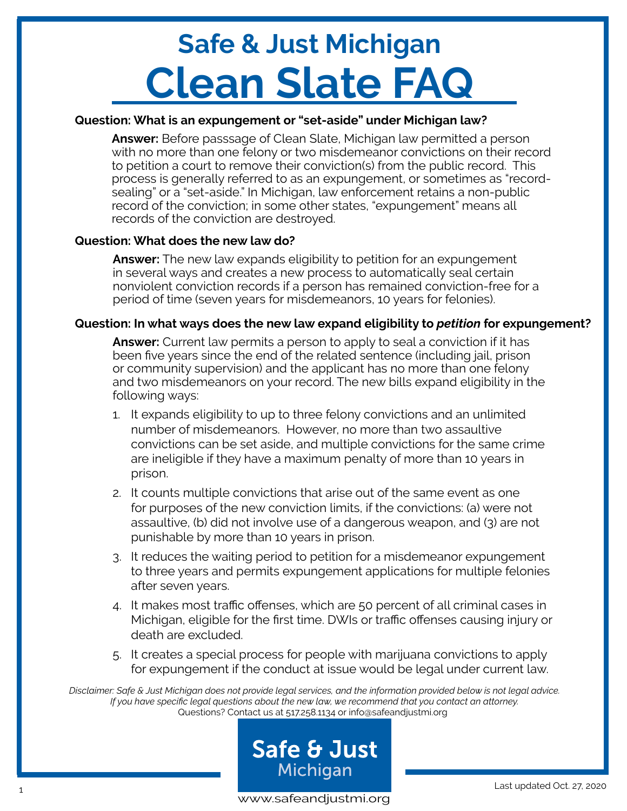### **Question: What is an expungement or "set-aside" under Michigan law?**

**Answer:** Before passsage of Clean Slate, Michigan law permitted a person with no more than one felony or two misdemeanor convictions on their record to petition a court to remove their conviction(s) from the public record. This process is generally referred to as an expungement, or sometimes as "recordsealing" or a "set-aside." In Michigan, law enforcement retains a non-public record of the conviction; in some other states, "expungement" means all records of the conviction are destroyed.

### **Question: What does the new law do?**

**Answer:** The new law expands eligibility to petition for an expungement in several ways and creates a new process to automatically seal certain nonviolent conviction records if a person has remained conviction-free for a period of time (seven years for misdemeanors, 10 years for felonies).

### **Question: In what ways does the new law expand eligibility to** *petition* **for expungement?**

**Answer:** Current law permits a person to apply to seal a conviction if it has been five years since the end of the related sentence (including jail, prison or community supervision) and the applicant has no more than one felony and two misdemeanors on your record. The new bills expand eligibility in the following ways:

- 1. It expands eligibility to up to three felony convictions and an unlimited number of misdemeanors. However, no more than two assaultive convictions can be set aside, and multiple convictions for the same crime are ineligible if they have a maximum penalty of more than 10 years in prison.
- 2. It counts multiple convictions that arise out of the same event as one for purposes of the new conviction limits, if the convictions: (a) were not assaultive, (b) did not involve use of a dangerous weapon, and (3) are not punishable by more than 10 years in prison.
- 3. It reduces the waiting period to petition for a misdemeanor expungement to three years and permits expungement applications for multiple felonies after seven years.
- 4. It makes most traffic offenses, which are 50 percent of all criminal cases in Michigan, eligible for the first time. DWIs or traffic offenses causing injury or death are excluded.
- 5. It creates a special process for people with marijuana convictions to apply for expungement if the conduct at issue would be legal under current law.

Questions? Contact us at 517.258.1134 or info@safeandjustmi.org *Disclaimer: Safe & Just Michigan does not provide legal services, and the information provided below is not legal advice. If you have specific legal questions about the new law, we recommend that you contact an attorney.*



www.safeandjustmi.org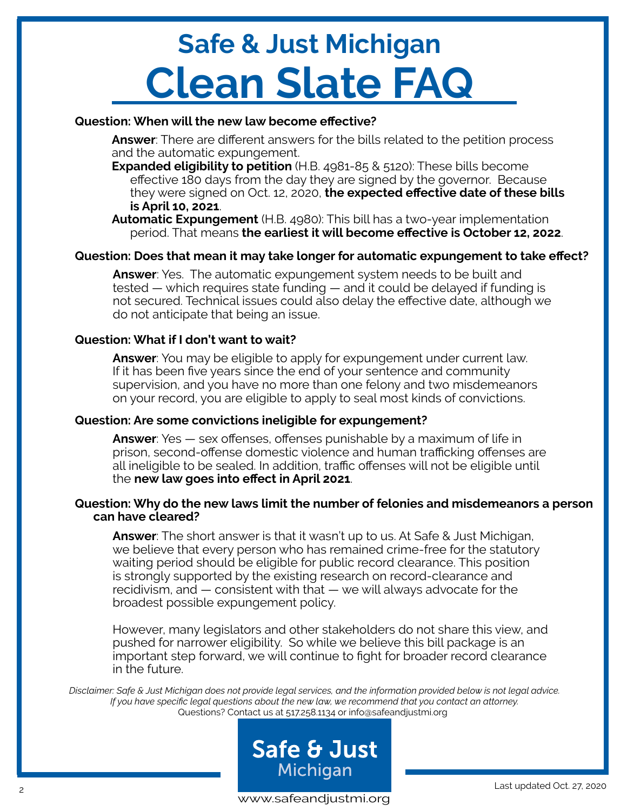## **Question: When will the new law become effective?**

**Answer**: There are different answers for the bills related to the petition process and the automatic expungement.

**Expanded eligibility to petition** (H.B. 4981-85 & 5120): These bills become effective 180 days from the day they are signed by the governor. Because they were signed on Oct. 12, 2020, **the expected effective date of these bills is April 10, 2021**.

**Automatic Expungement** (H.B. 4980): This bill has a two-year implementation period. That means **the earliest it will become effective is October 12, 2022**.

### **Question: Does that mean it may take longer for automatic expungement to take effect?**

**Answer**: Yes. The automatic expungement system needs to be built and tested — which requires state funding — and it could be delayed if funding is not secured. Technical issues could also delay the effective date, although we do not anticipate that being an issue.

### **Question: What if I don't want to wait?**

**Answer**: You may be eligible to apply for expungement under current law. If it has been five years since the end of your sentence and community supervision, and you have no more than one felony and two misdemeanors on your record, you are eligible to apply to seal most kinds of convictions.

#### **Question: Are some convictions ineligible for expungement?**

**Answer**: Yes — sex offenses, offenses punishable by a maximum of life in prison, second-offense domestic violence and human trafficking offenses are all ineligible to be sealed. In addition, traffic offenses will not be eligible until the **new law goes into effect in April 2021**.

#### **Question: Why do the new laws limit the number of felonies and misdemeanors a person can have cleared?**

**Answer**: The short answer is that it wasn't up to us. At Safe & Just Michigan, we believe that every person who has remained crime-free for the statutory waiting period should be eligible for public record clearance. This position is strongly supported by the existing research on record-clearance and recidivism, and — consistent with that — we will always advocate for the broadest possible expungement policy.

However, many legislators and other stakeholders do not share this view, and pushed for narrower eligibility. So while we believe this bill package is an important step forward, we will continue to fight for broader record clearance in the future.

Questions? Contact us at 517.258.1134 or info@safeandjustmi.org *Disclaimer: Safe & Just Michigan does not provide legal services, and the information provided below is not legal advice. If you have specific legal questions about the new law, we recommend that you contact an attorney.*



www.safeandjustmi.org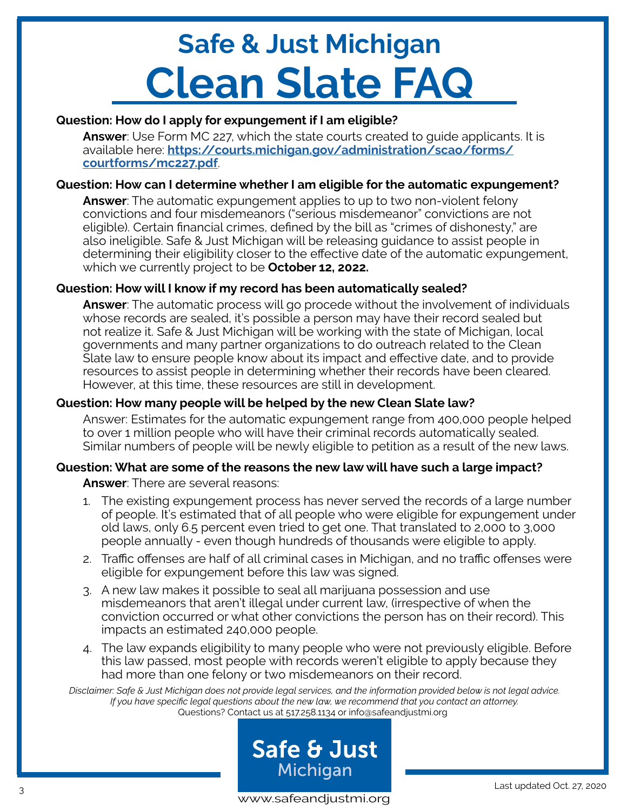# **Question: How do I apply for expungement if I am eligible?**

**Answer**: Use Form MC 227, which the state courts created to guide applicants. It is available here: **[https://courts.michigan.gov/administration/scao/forms/](https://courts.michigan.gov/administration/scao/forms/courtforms/mc227.pdf) [courtforms/mc227.pdf](https://courts.michigan.gov/administration/scao/forms/courtforms/mc227.pdf)**.

## **Question: How can I determine whether I am eligible for the automatic expungement?**

**Answer**: The automatic expungement applies to up to two non-violent felony convictions and four misdemeanors ("serious misdemeanor" convictions are not eligible). Certain financial crimes, defined by the bill as "crimes of dishonesty," are also ineligible. Safe & Just Michigan will be releasing guidance to assist people in determining their eligibility closer to the effective date of the automatic expungement, which we currently project to be **October 12, 2022.**

## **Question: How will I know if my record has been automatically sealed?**

**Answer**: The automatic process will go procede without the involvement of individuals whose records are sealed, it's possible a person may have their record sealed but not realize it. Safe & Just Michigan will be working with the state of Michigan, local governments and many partner organizations to do outreach related to the Clean Slate law to ensure people know about its impact and effective date, and to provide resources to assist people in determining whether their records have been cleared. However, at this time, these resources are still in development.

# **Question: How many people will be helped by the new Clean Slate law?**

Answer: Estimates for the automatic expungement range from 400,000 people helped to over 1 million people who will have their criminal records automatically sealed. Similar numbers of people will be newly eligible to petition as a result of the new laws.

# **Question: What are some of the reasons the new law will have such a large impact?**

**Answer**: There are several reasons:

- 1. The existing expungement process has never served the records of a large number of people. It's estimated that of all people who were eligible for expungement under old laws, only 6.5 percent even tried to get one. That translated to 2,000 to 3,000 people annually - even though hundreds of thousands were eligible to apply.
- 2. Traffic offenses are half of all criminal cases in Michigan, and no traffic offenses were eligible for expungement before this law was signed.
- 3. A new law makes it possible to seal all marijuana possession and use misdemeanors that aren't illegal under current law, (irrespective of when the conviction occurred or what other convictions the person has on their record). This impacts an estimated 240,000 people.
- 4. The law expands eligibility to many people who were not previously eligible. Before this law passed, most people with records weren't eligible to apply because they had more than one felony or two misdemeanors on their record.

Questions? Contact us at 517.258.1134 or info@safeandjustmi.org *Disclaimer: Safe & Just Michigan does not provide legal services, and the information provided below is not legal advice. If you have specific legal questions about the new law, we recommend that you contact an attorney.*